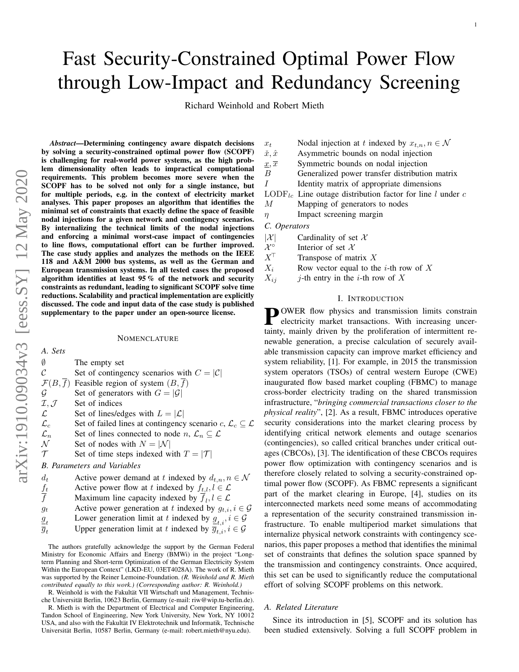# Fast Security-Constrained Optimal Power Flow through Low-Impact and Redundancy Screening

Richard Weinhold and Robert Mieth

*Abstract*—Determining contingency aware dispatch decisions by solving a security-constrained optimal power flow (SCOPF) is challenging for real-world power systems, as the high problem dimensionality often leads to impractical computational requirements. This problem becomes more severe when the SCOPF has to be solved not only for a single instance, but for multiple periods, e.g. in the context of electricity market analyses. This paper proposes an algorithm that identifies the minimal set of constraints that exactly define the space of feasible nodal injections for a given network and contingency scenarios. By internalizing the technical limits of the nodal injections and enforcing a minimal worst-case impact of contingencies to line flows, computational effort can be further improved. The case study applies and analyzes the methods on the IEEE 118 and A&M 2000 bus systems, as well as the German and European transmission systems. In all tested cases the proposed algorithm identifies at least 95 % of the network and security constraints as redundant, leading to significant SCOPF solve time reductions. Scalability and practical implementation are explicitly discussed. The code and input data of the case study is published supplementary to the paper under an open-source license.

#### **NOMENCLATURE**

| A. Sets                             |                                                                                      |
|-------------------------------------|--------------------------------------------------------------------------------------|
| Ø                                   | The empty set                                                                        |
| $\mathcal C$                        | Set of contingency scenarios with $C =  \mathcal{C} $                                |
|                                     | $\mathcal{F}(B,\overline{f})$ Feasible region of system $(B,f)$                      |
| $\mathcal G$                        | Set of generators with $G =  \mathcal{G} $                                           |
| $\mathcal{I}, \mathcal{J}$          | Set of indices                                                                       |
| $\mathcal{L}$                       | Set of lines/edges with $L =  \mathcal{L} $                                          |
| $\mathcal{L}_c$                     | Set of failed lines at contingency scenario c, $\mathcal{L}_c \subseteq \mathcal{L}$ |
| $\mathcal{L}_n$                     | Set of lines connected to node $n, \mathcal{L}_n \subseteq \mathcal{L}$              |
| $\cal N$                            | Set of nodes with $N =  \mathcal{N} $                                                |
| $\mathcal T$                        | Set of time steps indexed with $T =  \mathcal{T} $                                   |
|                                     | <b>B.</b> Parameters and Variables                                                   |
| $d_t$                               | Active power demand at t indexed by $d_{t,n}$ , $n \in \mathcal{N}$                  |
| $\frac{f_t}{f}$                     | Active power flow at t indexed by $f_{t,l}$ , $l \in \mathcal{L}$                    |
|                                     | Maximum line capacity indexed by $f_i, l \in \mathcal{L}$                            |
| $g_t$                               | Active power generation at t indexed by $g_{t,i}$ , $i \in \mathcal{G}$              |
|                                     | Lower generation limit at t indexed by $\underline{g}_{t,i}$ , $i \in \mathcal{G}$   |
| $\frac{g_{_{t}}}{\overline{g}_{t}}$ | Upper generation limit at t indexed by $\overline{g}_{t,i}$ , $i \in \mathcal{G}$    |

The authors gratefully acknowledge the support by the German Federal Ministry for Economic Affairs and Energy (BMWi) in the project "Longterm Planning and Short-term Optimization of the German Electricity System Within the European Context" (LKD-EU, 03ET4028A). The work of R. Mieth was supported by the Reiner Lemoine-Foundation. *(R. Weinhold and R. Mieth contributed equally to this work.) (Corresponding author: R. Weinhold.)*

R. Weinhold is with the Fakultät VII Wirtschaft und Management, Technische Universität Berlin, 10623 Berlin, Germany (e-mail: riw@wip.tu-berlin.de).

R. Mieth is with the Department of Electrical and Computer Engineering, Tandon School of Engineering, New York University, New York, NY 10012 USA, and also with the Fakultät IV Elektrotechnik und Informatik, Technische Universitat Berlin, 10587 Berlin, Germany (e-mail: robert.mieth@nyu.edu). ¨

| $x_t$                 | Nodal injection at t indexed by $x_{t,n}$ , $n \in \mathcal{N}$       |
|-----------------------|-----------------------------------------------------------------------|
| $\check{x}, \hat{x}$  | Asymmetric bounds on nodal injection                                  |
| $x,\overline{x}$      | Symmetric bounds on nodal injection                                   |
| $\overline{B}$        | Generalized power transfer distribution matrix                        |
|                       | Identity matrix of appropriate dimensions                             |
|                       | $\text{LODF}_{lc}$ Line outage distribution factor for line l under c |
| М                     | Mapping of generators to nodes                                        |
| $\eta$                | Impact screening margin                                               |
| C. Operators          |                                                                       |
| $ \mathcal{X} $       | Cardinality of set $\mathcal X$                                       |
| $\mathcal{X}^{\circ}$ | Interior of set $\mathcal X$                                          |
| $X^{\top}$            | Transpose of matrix $X$                                               |
| $X_i$                 | Row vector equal to the <i>i</i> -th row of X                         |
|                       |                                                                       |

 $X_{ij}$  j-th entry in the *i*-th row of X

# I. INTRODUCTION

**POWER** flow physics and transmission limits constrain<br>electricity market transactions. With increasing uncerelectricity market transactions. With increasing uncertainty, mainly driven by the proliferation of intermittent renewable generation, a precise calculation of securely available transmission capacity can improve market efficiency and system reliability, [1]. For example, in 2015 the transmission system operators (TSOs) of central western Europe (CWE) inaugurated flow based market coupling (FBMC) to manage cross-border electricity trading on the shared transmission infrastructure, "*bringing commercial transactions closer to the physical reality*", [2]. As a result, FBMC introduces operative security considerations into the market clearing process by identifying critical network elements and outage scenarios (contingencies), so called critical branches under critical outages (CBCOs), [3]. The identification of these CBCOs requires power flow optimization with contingency scenarios and is therefore closely related to solving a security-constrained optimal power flow (SCOPF). As FBMC represents a significant part of the market clearing in Europe, [4], studies on its interconnected markets need some means of accommodating a representation of the security constrained transmission infrastructure. To enable multiperiod market simulations that internalize physical network constraints with contingency scenarios, this paper proposes a method that identifies the minimal set of constraints that defines the solution space spanned by the transmission and contingency constraints. Once acquired, this set can be used to significantly reduce the computational effort of solving SCOPF problems on this network.

## *A. Related Literature*

Since its introduction in [5], SCOPF and its solution has been studied extensively. Solving a full SCOPF problem in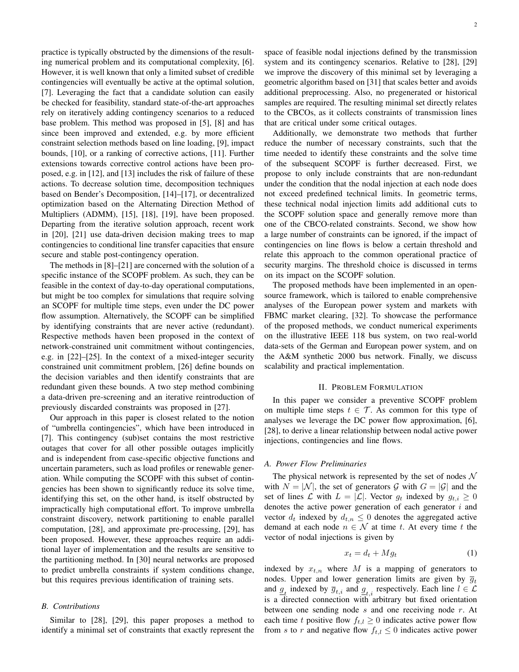practice is typically obstructed by the dimensions of the resulting numerical problem and its computational complexity, [6]. However, it is well known that only a limited subset of credible contingencies will eventually be active at the optimal solution, [7]. Leveraging the fact that a candidate solution can easily be checked for feasibility, standard state-of-the-art approaches rely on iteratively adding contingency scenarios to a reduced base problem. This method was proposed in [5], [8] and has since been improved and extended, e.g. by more efficient constraint selection methods based on line loading, [9], impact bounds, [10], or a ranking of corrective actions, [11]. Further extensions towards corrective control actions have been proposed, e.g. in [12], and [13] includes the risk of failure of these actions. To decrease solution time, decomposition techniques based on Bender's Decomposition, [14]–[17], or decentralized optimization based on the Alternating Direction Method of Multipliers (ADMM), [15], [18], [19], have been proposed. Departing from the iterative solution approach, recent work in [20], [21] use data-driven decision making trees to map contingencies to conditional line transfer capacities that ensure secure and stable post-contingency operation.

The methods in [8]–[21] are concerned with the solution of a specific instance of the SCOPF problem. As such, they can be feasible in the context of day-to-day operational computations, but might be too complex for simulations that require solving an SCOPF for multiple time steps, even under the DC power flow assumption. Alternatively, the SCOPF can be simplified by identifying constraints that are never active (redundant). Respective methods haven been proposed in the context of network-constrained unit commitment without contingencies, e.g. in [22]–[25]. In the context of a mixed-integer security constrained unit commitment problem, [26] define bounds on the decision variables and then identify constraints that are redundant given these bounds. A two step method combining a data-driven pre-screening and an iterative reintroduction of previously discarded constraints was proposed in [27].

Our approach in this paper is closest related to the notion of "umbrella contingencies", which have been introduced in [7]. This contingency (sub)set contains the most restrictive outages that cover for all other possible outages implicitly and is independent from case-specific objective functions and uncertain parameters, such as load profiles or renewable generation. While computing the SCOPF with this subset of contingencies has been shown to significantly reduce its solve time, identifying this set, on the other hand, is itself obstructed by impractically high computational effort. To improve umbrella constraint discovery, network partitioning to enable parallel computation, [28], and approximate pre-processing, [29], has been proposed. However, these approaches require an additional layer of implementation and the results are sensitive to the partitioning method. In [30] neural networks are proposed to predict umbrella constraints if system conditions change, but this requires previous identification of training sets.

# *B. Contributions*

Similar to [28], [29], this paper proposes a method to identify a minimal set of constraints that exactly represent the space of feasible nodal injections defined by the transmission system and its contingency scenarios. Relative to [28], [29] we improve the discovery of this minimal set by leveraging a geometric algorithm based on [31] that scales better and avoids additional preprocessing. Also, no pregenerated or historical samples are required. The resulting minimal set directly relates to the CBCOs, as it collects constraints of transmission lines that are critical under some critical outages.

Additionally, we demonstrate two methods that further reduce the number of necessary constraints, such that the time needed to identify these constraints and the solve time of the subsequent SCOPF is further decreased. First, we propose to only include constraints that are non-redundant under the condition that the nodal injection at each node does not exceed predefined technical limits. In geometric terms, these technical nodal injection limits add additional cuts to the SCOPF solution space and generally remove more than one of the CBCO-related constraints. Second, we show how a large number of constraints can be ignored, if the impact of contingencies on line flows is below a certain threshold and relate this approach to the common operational practice of security margins. The threshold choice is discussed in terms on its impact on the SCOPF solution.

The proposed methods have been implemented in an opensource framework, which is tailored to enable comprehensive analyses of the European power system and markets with FBMC market clearing, [32]. To showcase the performance of the proposed methods, we conduct numerical experiments on the illustrative IEEE 118 bus system, on two real-world data-sets of the German and European power system, and on the A&M synthetic 2000 bus network. Finally, we discuss scalability and practical implementation.

#### II. PROBLEM FORMULATION

In this paper we consider a preventive SCOPF problem on multiple time steps  $t \in \mathcal{T}$ . As common for this type of analyses we leverage the DC power flow approximation, [6], [28], to derive a linear relationship between nodal active power injections, contingencies and line flows.

#### *A. Power Flow Preliminaries*

The physical network is represented by the set of nodes  $\mathcal N$ with  $N = |\mathcal{N}|$ , the set of generators G with  $G = |\mathcal{G}|$  and the set of lines L with  $L = |\mathcal{L}|$ . Vector  $g_t$  indexed by  $g_{t,i} \geq 0$ denotes the active power generation of each generator  $i$  and vector  $d_t$  indexed by  $d_{t,n} \leq 0$  denotes the aggregated active demand at each node  $n \in \mathcal{N}$  at time t. At every time t the vector of nodal injections is given by

$$
x_t = d_t + Mg_t \tag{1}
$$

indexed by  $x_{t,n}$  where M is a mapping of generators to nodes. Upper and lower generation limits are given by  $\overline{g}_t$ and  $\underline{g}_t$  indexed by  $\overline{g}_{t,i}$  and  $\underline{g}_{t,i}$  respectively. Each line  $l \in \mathcal{L}$ is a directed connection with arbitrary but fixed orientation between one sending node  $s$  and one receiving node  $r$ . At each time t positive flow  $f_{t,l} \geq 0$  indicates active power flow from s to r and negative flow  $f_{t,l} \leq 0$  indicates active power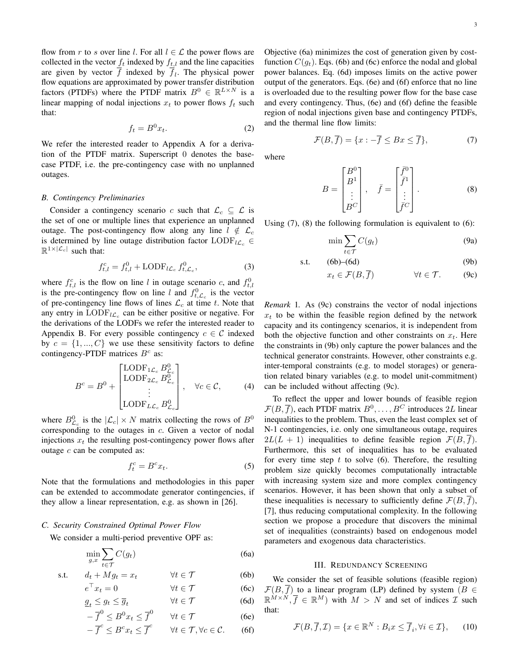flow from r to s over line l. For all  $l \in \mathcal{L}$  the power flows are collected in the vector  $f_t$  indexed by  $f_{t,l}$  and the line capacities are given by vector  $f$  indexed by  $f_l$ . The physical power flow equations are approximated by power transfer distribution factors (PTDFs) where the PTDF matrix  $B^0 \in \mathbb{R}^{L \times N}$  is a linear mapping of nodal injections  $x_t$  to power flows  $f_t$  such that:

$$
f_t = B^0 x_t. \tag{2}
$$

We refer the interested reader to Appendix A for a derivation of the PTDF matrix. Superscript 0 denotes the basecase PTDF, i.e. the pre-contingency case with no unplanned outages.

#### *B. Contingency Preliminaries*

Consider a contingency scenario c such that  $\mathcal{L}_c \subseteq \mathcal{L}$  is the set of one or multiple lines that experience an unplanned outage. The post-contingency flow along any line  $l \notin \mathcal{L}_c$ is determined by line outage distribution factor LODF<sub>lCc</sub> ∈  $\mathbb{R}^{1\times |\mathcal{L}_c|}$  such that:

$$
f_{t,l}^c = f_{t,l}^0 + \text{LODF}_{l\mathcal{L}_c} f_{t,\mathcal{L}_c}^0,\tag{3}
$$

where  $f_{t,l}^c$  is the flow on line l in outage scenario c, and  $f_{t,l}^0$ is the pre-contingency flow on line l and  $f_{t,\mathcal{L}_c}^0$  is the vector of pre-contingency line flows of lines  $\mathcal{L}_c$  at time t. Note that any entry in  $\text{LODF}_{l\mathcal{L}_c}$  can be either positive or negative. For the derivations of the LODFs we refer the interested reader to Appendix B. For every possible contingency  $c \in \mathcal{C}$  indexed by  $c = \{1, ..., C\}$  we use these sensitivity factors to define contingency-PTDF matrices  $B<sup>c</sup>$  as:

$$
B^{c} = B^{0} + \begin{bmatrix} \text{LODF}_{1\mathcal{L}_{c}} B_{\mathcal{L}_{c}}^{0} \\ \text{LODF}_{2\mathcal{L}_{c}} B_{\mathcal{L}_{c}}^{0} \\ \vdots \\ \text{LODF}_{L\mathcal{L}_{c}} B_{\mathcal{L}_{c}}^{0} \end{bmatrix}, \quad \forall c \in \mathcal{C},
$$
 (4)

where  $B_{\mathcal{L}_c}^0$  is the  $|\mathcal{L}_c| \times N$  matrix collecting the rows of  $B^0$ corresponding to the outages in c. Given a vector of nodal injections  $x_t$  the resulting post-contingency power flows after outage  $c$  can be computed as:

$$
f_t^c = B^c x_t. \tag{5}
$$

Note that the formulations and methodologies in this paper can be extended to accommodate generator contingencies, if they allow a linear representation, e.g. as shown in [26].

## *C. Security Constrained Optimal Power Flow*

We consider a multi-period preventive OPF as:

$$
\min_{g,x} \sum_{t \in \mathcal{T}} C(g_t) \tag{6a}
$$

$$
\text{s.t.} \qquad d_t + M g_t = x_t \qquad \qquad \forall t \in \mathcal{T} \tag{6b}
$$

$$
e^{\top} x_t = 0 \qquad \forall t \in \mathcal{T} \qquad (6c)
$$

$$
\underline{g}_t \le g_t \le \overline{g}_t \qquad \forall t \in \mathcal{T} \tag{6d}
$$
\n
$$
-\overline{f}^0 \le B^0 x_t \le \overline{f}^0 \qquad \forall t \in \mathcal{T} \tag{6e}
$$

$$
-\overline{f}^c \leq B^c x_t \leq \overline{f}^c \qquad \forall t \in \mathcal{T}, \forall c \in \mathcal{C}.
$$
 (6f)

Objective (6a) minimizes the cost of generation given by costfunction  $C(q_t)$ . Eqs. (6b) and (6c) enforce the nodal and global power balances. Eq. (6d) imposes limits on the active power output of the generators. Eqs. (6e) and (6f) enforce that no line is overloaded due to the resulting power flow for the base case and every contingency. Thus, (6e) and (6f) define the feasible region of nodal injections given base and contingency PTDFs, and the thermal line flow limits:

$$
\mathcal{F}(B,\overline{f}) = \{x : -\overline{f} \le Bx \le \overline{f}\},\tag{7}
$$

where

$$
B = \begin{bmatrix} B^0 \\ B^1 \\ \vdots \\ B^C \end{bmatrix}, \quad \bar{f} = \begin{bmatrix} \bar{f}^0 \\ \bar{f}^1 \\ \vdots \\ \bar{f}^C \end{bmatrix}.
$$
 (8)

Using (7), (8) the following formulation is equivalent to (6):

$$
\min \sum_{t \in \mathcal{T}} C(g_t) \tag{9a}
$$

$$
s.t. \t(6b)–(6d) \t(9b)
$$

$$
x_t \in \mathcal{F}(B, \overline{f}) \qquad \forall t \in \mathcal{T}.
$$
 (9c)

*Remark* 1*.* As (9c) constrains the vector of nodal injections  $x_t$  to be within the feasible region defined by the network capacity and its contingency scenarios, it is independent from both the objective function and other constraints on  $x_t$ . Here the constraints in (9b) only capture the power balances and the technical generator constraints. However, other constraints e.g. inter-temporal constraints (e.g. to model storages) or generation related binary variables (e.g. to model unit-commitment) can be included without affecting (9c).

To reflect the upper and lower bounds of feasible region  $\mathcal{F}(B,\overline{f})$ , each PTDF matrix  $B^0,\ldots,B^C$  introduces 2L linear inequalities to the problem. Thus, even the least complex set of N-1 contingencies, i.e. only one simultaneous outage, requires  $2L(L + 1)$  inequalities to define feasible region  $\mathcal{F}(B, \overline{f}).$ Furthermore, this set of inequalities has to be evaluated for every time step  $t$  to solve (6). Therefore, the resulting problem size quickly becomes computationally intractable with increasing system size and more complex contingency scenarios. However, it has been shown that only a subset of these inequalities is necessary to sufficiently define  $\mathcal{F}(B, \overline{f})$ , [7], thus reducing computational complexity. In the following section we propose a procedure that discovers the minimal set of inequalities (constraints) based on endogenous model parameters and exogenous data characteristics.

# III. REDUNDANCY SCREENING

We consider the set of feasible solutions (feasible region)  $\mathcal{F}(B,\overline{f})$  to a linear program (LP) defined by system ( $B \in$  $\mathbb{R}^{M \times N}, \overline{f} \in \mathbb{R}^{M}$  with  $M > N$  and set of indices  $\mathcal{I}$  such that:

$$
\mathcal{F}(B,\overline{f},\mathcal{I}) = \{x \in \mathbb{R}^N : B_i x \le \overline{f}_i, \forall i \in \mathcal{I}\},\qquad(10)
$$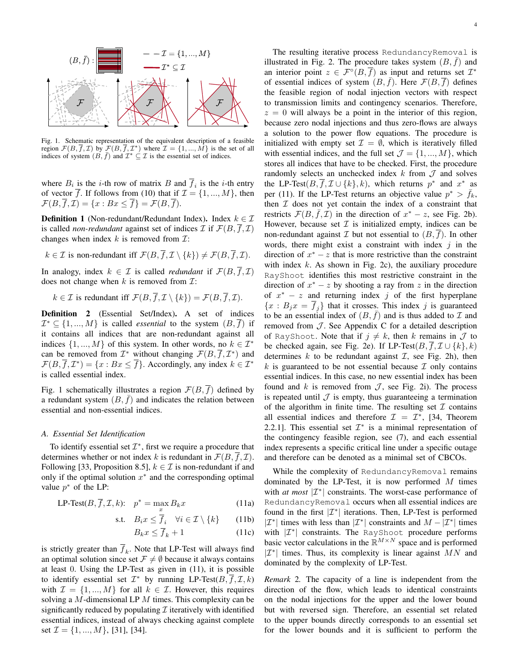

Fig. 1. Schematic representation of the equivalent description of a feasible region  $\mathcal{F}(B,\overline{f},\mathcal{I})$  by  $\mathcal{F}(B,\overline{f},\mathcal{I}^*)$  where  $\mathcal{I} = \{1,...,M\}$  is the set of all indices of system  $(B, \bar{f})$  and  $\mathcal{I}^* \subseteq \mathcal{I}$  is the essential set of indices.

where  $B_i$  is the *i*-th row of matrix B and  $f_i$  is the *i*-th entry of vector  $\overline{f}$ . If follows from (10) that if  $\mathcal{I} = \{1, ..., M\}$ , then  $\mathcal{F}(B,\overline{f},\mathcal{I})=\{x: Bx\leq \overline{f}\}=\mathcal{F}(B,\overline{f}).$ 

**Definition 1** (Non-redundant/Redundant Index). Index  $k \in \mathcal{I}$ is called *non-redundant* against set of indices  $\mathcal I$  if  $\mathcal F(B,\overline{f},\mathcal{I})$ changes when index  $k$  is removed from  $\mathcal{I}$ :

 $k \in \mathcal{I}$  is non-redundant iff  $\mathcal{F}(B, \overline{f}, \mathcal{I} \setminus \{k\}) \neq \mathcal{F}(B, \overline{f}, \mathcal{I}).$ 

In analogy, index  $k \in \mathcal{I}$  is called *redundant* if  $\mathcal{F}(B, \overline{f}, \mathcal{I})$ does not change when  $k$  is removed from  $\mathcal{I}$ :

 $k \in \mathcal{I}$  is redundant iff  $\mathcal{F}(B, \overline{f}, \mathcal{I} \setminus \{k\}) = \mathcal{F}(B, \overline{f}, \mathcal{I}).$ 

Definition 2 (Essential Set/Index). A set of indices  $\mathcal{I}^* \subseteq \{1, ..., M\}$  is called *essential* to the system  $(B, \overline{f})$  if it contains all indices that are non-redundant against all indices  $\{1, ..., M\}$  of this system. In other words, no  $k \in \mathcal{I}^*$ can be removed from  $\mathcal{I}^*$  without changing  $\mathcal{F}(B, \overline{f}, \mathcal{I}^*)$  and  $\mathcal{F}(B,\overline{f},\mathcal{I}^*) = \{x : Bx \leq \overline{f}\}\.$  Accordingly, any index  $k \in \mathcal{I}^*$ is called essential index.

Fig. 1 schematically illustrates a region  $\mathcal{F}(B, f)$  defined by a redundant system  $(B, \bar{f})$  and indicates the relation between essential and non-essential indices.

#### *A. Essential Set Identification*

To identify essential set  $\mathcal{I}^*$ , first we require a procedure that determines whether or not index k is redundant in  $\mathcal{F}(B, \overline{f}, \mathcal{I})$ . Following [33, Proposition 8.5],  $k \in \mathcal{I}$  is non-redundant if and only if the optimal solution  $x^*$  and the corresponding optimal value  $p^*$  of the LP:

$$
\text{LP-Test}(B, \overline{f}, \mathcal{I}, k); \quad p^* = \max_x B_k x \tag{11a}
$$

$$
\text{s.t.} \quad B_i x \le \overline{f}_i \quad \forall i \in \mathcal{I} \setminus \{k\} \tag{11b}
$$

$$
B_k x \le \overline{f}_k + 1 \tag{11c}
$$

is strictly greater than  $f_k$ . Note that LP-Test will always find an optimal solution since set  $\mathcal{F} \neq \emptyset$  because it always contains at least 0. Using the LP-Test as given in (11), it is possible to identify essential set  $\mathcal{I}^*$  by running LP-Test $(B, \overline{f}, \mathcal{I}, k)$ with  $\mathcal{I} = \{1, ..., M\}$  for all  $k \in \mathcal{I}$ . However, this requires solving a M-dimensional LP  $M$  times. This complexity can be significantly reduced by populating  $\mathcal I$  iteratively with identified essential indices, instead of always checking against complete set  $\mathcal{I} = \{1, ..., M\}$ , [31], [34].

The resulting iterative process RedundancyRemoval is illustrated in Fig. 2. The procedure takes system  $(B, \bar{f})$  and an interior point  $z \in \mathcal{F}^{\circ}(B, \overline{f})$  as input and returns set  $\mathcal{I}^*$ of essential indices of system  $(B, f)$ . Here  $\mathcal{F}(B, f)$  defines the feasible region of nodal injection vectors with respect to transmission limits and contingency scenarios. Therefore,  $z = 0$  will always be a point in the interior of this region, because zero nodal injections and thus zero-flows are always a solution to the power flow equations. The procedure is initialized with empty set  $\mathcal{I} = \emptyset$ , which is iteratively filled with essential indices, and the full set  $\mathcal{J} = \{1, ..., M\}$ , which stores all indices that have to be checked. First, the procedure randomly selects an unchecked index  $k$  from  $\mathcal J$  and solves the LP-Test $(B, \overline{f}, \mathcal{I} \cup \{k\}, k)$ , which returns  $p^*$  and  $x^*$  as per (11). If the LP-Test returns an objective value  $p^* > \bar{f}_k$ , then  $I$  does not yet contain the index of a constraint that restricts  $\mathcal{F}(B, \bar{f}, \mathcal{I})$  in the direction of  $x^* - z$ , see Fig. 2b). However, because set  $\mathcal I$  is initialized empty, indices can be non-redundant against  $\mathcal I$  but not essential to  $(B, f)$ . In other words, there might exist a constraint with index  $j$  in the direction of  $x^* - z$  that is more restrictive than the constraint with index  $k$ . As shown in Fig. 2c), the auxiliary procedure RayShoot identifies this most restrictive constraint in the direction of  $x^* - z$  by shooting a ray from z in the direction of  $x^* - z$  and returning index j of the first hyperplane  ${x : B_j x = \overline{f}_j}$  that it crosses. This index j is guaranteed to be an essential index of  $(B, f)$  and is thus added to  $\mathcal I$  and removed from  $J$ . See Appendix C for a detailed description of RayShoot. Note that if  $j \neq k$ , then k remains in  $\mathcal J$  to be checked again, see Fig. 2e). If LP-Test $(B, \overline{f}, \mathcal{I} \cup \{k\}, k)$ determines  $k$  to be redundant against  $\mathcal{I}$ , see Fig. 2h), then  $k$  is guaranteed to be not essential because  $\mathcal I$  only contains essential indices. In this case, no new essential index has been found and k is removed from  $J$ , see Fig. 2i). The process is repeated until  $\mathcal J$  is empty, thus guaranteeing a termination of the algorithm in finite time. The resulting set  $\mathcal I$  contains all essential indices and therefore  $\mathcal{I} = \mathcal{I}^*$ , [34, Theorem 2.2.1]. This essential set  $\mathcal{I}^*$  is a minimal representation of the contingency feasible region, see (7), and each essential index represents a specific critical line under a specific outage and therefore can be denoted as a minimal set of CBCOs.

While the complexity of RedundancyRemoval remains dominated by the LP-Test, it is now performed  $M$  times with *at most*  $|\mathcal{I}^*|$  constraints. The worst-case performance of RedundancyRemoval occurs when all essential indices are found in the first  $|\mathcal{I}^*|$  iterations. Then, LP-Test is performed  $|\mathcal{I}^*|$  times with less than  $|\mathcal{I}^*|$  constraints and  $M - |\mathcal{I}^*|$  times with  $|\mathcal{I}^*|$  constraints. The RayShoot procedure performs basic vector calculations in the  $\mathbb{R}^{M \times N}$  space and is performed  $|\mathcal{I}^*|$  times. Thus, its complexity is linear against  $MN$  and dominated by the complexity of LP-Test.

*Remark* 2*.* The capacity of a line is independent from the direction of the flow, which leads to identical constraints on the nodal injections for the upper and the lower bound but with reversed sign. Therefore, an essential set related to the upper bounds directly corresponds to an essential set for the lower bounds and it is sufficient to perform the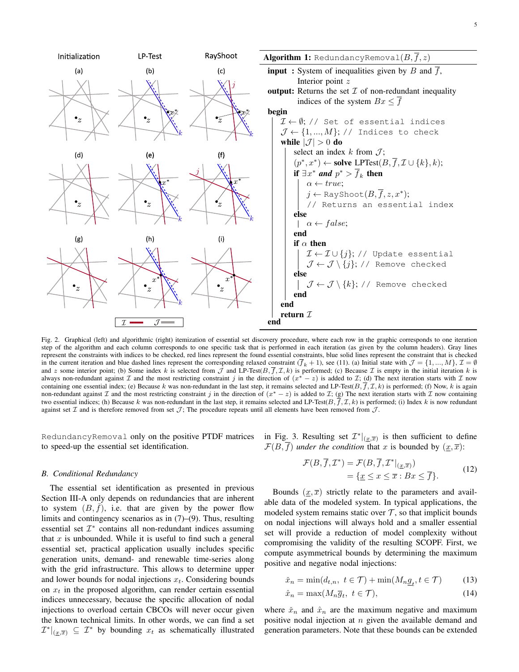

Fig. 2. Graphical (left) and algorithmic (right) itemization of essential set discovery procedure, where each row in the graphic corresponds to one iteration step of the algorithm and each column corresponds to one specific task that is performed in each iteration (as given by the column headers). Gray lines represent the constraints with indices to be checked, red lines represent the found essential constraints, blue solid lines represent the constraint that is checked in the current iteration and blue dashed lines represent the corresponding relaxed constraint  $(\overline{f}_k + 1)$ , see (11). (a) Initial state with  $\mathcal{J} = \{1, ..., M\}$ ,  $\mathcal{I} = \emptyset$ and z some interior point; (b) Some index k is selected from  $\bar{J}$  and LP-Test( $B, \bar{f}, \mathcal{I}, k$ ) is performed; (c) Because  $\bar{I}$  is empty in the initial iteration k is always non-redundant against  $\mathcal I$  and the most restricting constraint j in the direction of  $(x^* - z)$  is added to  $\mathcal I$ ; (d) The next iteration starts with  $\mathcal I$  now containing one essential index; (e) Because k was non-redundant in the last step, it remains selected and LP-Test( $B, \overline{f}, \mathcal{I}, k$ ) is performed; (f) Now, k is again non-redundant against  $\mathcal I$  and the most restricting constraint j in the direction of  $(x^* - z)$  is added to  $\mathcal I$ ; (g) The next iteration starts with  $\mathcal I$  now containing two essential indices; (h) Because k was non-redundant in the last step, it remains selected and LP-Test( $B, f, \mathcal{I}, k$ ) is performed; (i) Index k is now redundant against set  $\mathcal I$  and is therefore removed from set  $\mathcal J$ ; The procedure repeats until all elements have been removed from  $\mathcal J$ .

RedundancyRemoval <mark>only on the positive PTDF matrices in Fig. 3. Resulting set  $\mathcal{I}^*|_{(\underline{x},\overline{x})}$  is then sufficient to define</mark> to speed-up the essential set identification.

#### *B. Conditional Redundancy*

The essential set identification as presented in previous Section III-A only depends on redundancies that are inherent to system  $(B, \bar{f})$ , i.e. that are given by the power flow limits and contingency scenarios as in (7)–(9). Thus, resulting essential set  $\mathcal{I}^*$  contains all non-redundant indices assuming that x is unbounded. While it is useful to find such a general essential set, practical application usually includes specific generation units, demand- and renewable time-series along with the grid infrastructure. This allows to determine upper and lower bounds for nodal injections  $x_t$ . Considering bounds on  $x_t$  in the proposed algorithm, can render certain essential indices unnecessary, because the specific allocation of nodal injections to overload certain CBCOs will never occur given the known technical limits. In other words, we can find a set  $\mathcal{I}^*|_{(\underline{x},\overline{x})} \subseteq \mathcal{I}^*$  by bounding  $x_t$  as schematically illustrated

 $\mathcal{F}(B, \overline{f})$  *under the condition* that x is bounded by  $(\underline{x}, \overline{x})$ :

$$
\mathcal{F}(B,\overline{f},\mathcal{I}^*) = \mathcal{F}(B,\overline{f},\mathcal{I}^*|_{(\underline{x},\overline{x})})
$$
  
= { $\underline{x} \leq x \leq \overline{x} : Bx \leq \overline{f}$  }. (12)

Bounds  $(x, \overline{x})$  strictly relate to the parameters and available data of the modeled system. In typical applications, the modeled system remains static over  $\mathcal T$ , so that implicit bounds on nodal injections will always hold and a smaller essential set will provide a reduction of model complexity without compromising the validity of the resulting SCOPF. First, we compute asymmetrical bounds by determining the maximum positive and negative nodal injections:

$$
\check{x}_n = \min(d_{t,n}, \ t \in \mathcal{T}) + \min(M_n \underline{g}_t, t \in \mathcal{T}) \tag{13}
$$

$$
\hat{x}_n = \max(M_n \overline{g}_t, \ t \in \mathcal{T}),\tag{14}
$$

where  $\tilde{x}_n$  and  $\hat{x}_n$  are the maximum negative and maximum positive nodal injection at  $n$  given the available demand and generation parameters. Note that these bounds can be extended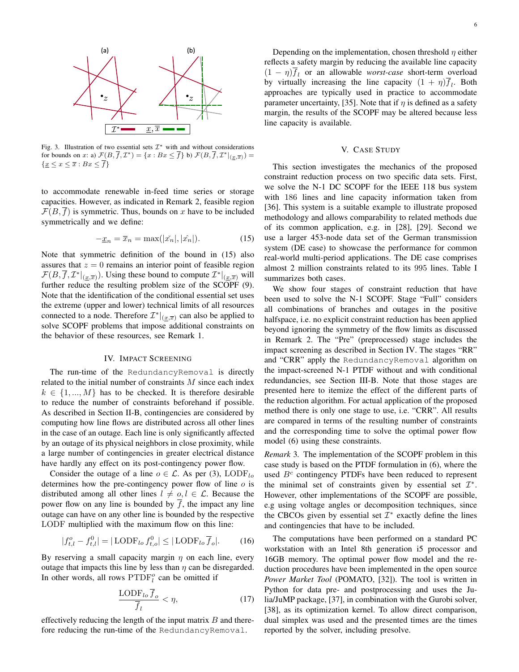

Fig. 3. Illustration of two essential sets  $\mathcal{I}^*$  with and without considerations for bounds on x: a)  $\mathcal{F}(B,\overline{f},\mathcal{I}^*) = \{x : Bx \leq \overline{f}\}\$  b)  $\mathcal{F}(B,\overline{f},\mathcal{I}^*|_{(\underline{x},\overline{x})}) =$  $\{x \leq x \leq \overline{x} : Bx \leq \overline{f}\}\$ 

to accommodate renewable in-feed time series or storage capacities. However, as indicated in Remark 2, feasible region  $\mathcal{F}(B, \overline{f})$  is symmetric. Thus, bounds on x have to be included symmetrically and we define:

$$
-\underline{x}_n = \overline{x}_n = \max(|\check{x_n}|, |\hat{x_n}|). \tag{15}
$$

Note that symmetric definition of the bound in (15) also assures that  $z = 0$  remains an interior point of feasible region  $\mathcal{F}(B,\overline{f},\mathcal{I}^*|_{(\underline{x},\overline{x})})$ . Using these bound to compute  $\mathcal{I}^*|_{(\underline{x},\overline{x})}$  will further reduce the resulting problem size of the SCOPF (9). Note that the identification of the conditional essential set uses the extreme (upper and lower) technical limits of all resources connected to a node. Therefore  $\mathcal{I}^*|_{(\underline{x},\overline{x})}$  can also be applied to solve SCOPF problems that impose additional constraints on the behavior of these resources, see Remark 1.

# IV. IMPACT SCREENING

The run-time of the RedundancyRemoval is directly related to the initial number of constraints  $M$  since each index  $k \in \{1, ..., M\}$  has to be checked. It is therefore desirable to reduce the number of constraints beforehand if possible. As described in Section II-B, contingencies are considered by computing how line flows are distributed across all other lines in the case of an outage. Each line is only significantly affected by an outage of its physical neighbors in close proximity, while a large number of contingencies in greater electrical distance have hardly any effect on its post-contingency power flow.

Consider the outage of a line  $o \in \mathcal{L}$ . As per (3), LODF<sub>lo</sub> determines how the pre-contingency power flow of line  $o$  is distributed among all other lines  $l \neq o, l \in \mathcal{L}$ . Because the power flow on any line is bounded by  $\overline{f}$ , the impact any line outage can have on any other line is bounded by the respective LODF multiplied with the maximum flow on this line:

$$
|f_{t,l}^o - f_{t,l}^0| = |\text{LODF}_{lo} f_{t,o}^0| \le |\text{LODF}_{lo} \overline{f}_o|. \tag{16}
$$

By reserving a small capacity margin  $\eta$  on each line, every outage that impacts this line by less than  $\eta$  can be disregarded. In other words, all rows  $\text{PTDF}_l^o$  can be omitted if

$$
\frac{\text{LODF}_{lo}\overline{f}_o}{\overline{f}_l} < \eta,\tag{17}
$$

effectively reducing the length of the input matrix  $B$  and therefore reducing the run-time of the RedundancyRemoval.

Depending on the implementation, chosen threshold  $\eta$  either reflects a safety margin by reducing the available line capacity  $(1 - \eta)f_l$  or an allowable *worst-case* short-term overload by virtually increasing the line capacity  $(1 + \eta)f_l$ . Both approaches are typically used in practice to accommodate parameter uncertainty, [35]. Note that if  $\eta$  is defined as a safety margin, the results of the SCOPF may be altered because less line capacity is available.

#### V. CASE STUDY

This section investigates the mechanics of the proposed constraint reduction process on two specific data sets. First, we solve the N-1 DC SCOPF for the IEEE 118 bus system with 186 lines and line capacity information taken from [36]. This system is a suitable example to illustrate proposed methodology and allows comparability to related methods due of its common application, e.g. in [28], [29]. Second we use a larger 453-node data set of the German transmission system (DE case) to showcase the performance for common real-world multi-period applications. The DE case comprises almost 2 million constraints related to its 995 lines. Table I summarizes both cases.

We show four stages of constraint reduction that have been used to solve the N-1 SCOPF. Stage "Full" considers all combinations of branches and outages in the positive halfspace, i.e. no explicit constraint reduction has been applied beyond ignoring the symmetry of the flow limits as discussed in Remark 2. The "Pre" (preprocessed) stage includes the impact screening as described in Section IV. The stages "RR" and "CRR" apply the RedundancyRemoval algorithm on the impact-screened N-1 PTDF without and with conditional redundancies, see Section III-B. Note that those stages are presented here to itemize the effect of the different parts of the reduction algorithm. For actual application of the proposed method there is only one stage to use, i.e. "CRR". All results are compared in terms of the resulting number of constraints and the corresponding time to solve the optimal power flow model (6) using these constraints.

*Remark* 3*.* The implementation of the SCOPF problem in this case study is based on the PTDF formulation in (6), where the used  $B<sup>c</sup>$  contingency PTDFs have been reduced to represent the minimal set of constraints given by essential set  $\mathcal{I}^*$ . However, other implementations of the SCOPF are possible, e.g using voltage angles or decomposition techniques, since the CBCOs given by essential set  $\mathcal{I}^*$  exactly define the lines and contingencies that have to be included.

The computations have been performed on a standard PC workstation with an Intel 8th generation i5 processor and 16GB memory. The optimal power flow model and the reduction procedures have been implemented in the open source *Power Market Tool* (POMATO, [32]). The tool is written in Python for data pre- and postprocessing and uses the Julia/JuMP package, [37], in combination with the Gurobi solver, [38], as its optimization kernel. To allow direct comparison, dual simplex was used and the presented times are the times reported by the solver, including presolve.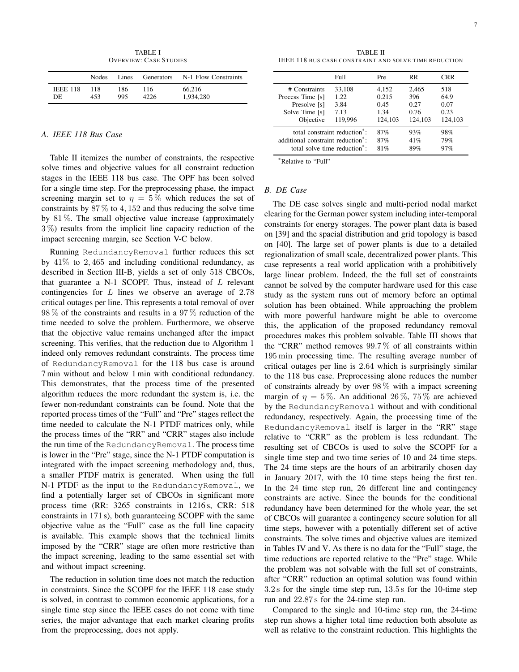TABLE I OVERVIEW: CASE STUDIES

|                 | <b>Nodes</b> | Lines |      | Generators N-1 Flow Constraints |
|-----------------|--------------|-------|------|---------------------------------|
| <b>IEEE 118</b> | 118          | 186   | 116  | 66.216                          |
| DE              | 453          | 995   | 4226 | 1.934.280                       |

## *A. IEEE 118 Bus Case*

Table II itemizes the number of constraints, the respective solve times and objective values for all constraint reduction stages in the IEEE 118 bus case. The OPF has been solved for a single time step. For the preprocessing phase, the impact screening margin set to  $\eta = 5\%$  which reduces the set of constraints by  $87\%$  to  $4,152$  and thus reducing the solve time by 81 %. The small objective value increase (approximately 3 %) results from the implicit line capacity reduction of the impact screening margin, see Section V-C below.

Running RedundancyRemoval further reduces this set by  $41\%$  to 2,465 and including conditional redundancy, as described in Section III-B, yields a set of only 518 CBCOs, that guarantee a N-1 SCOPF. Thus, instead of  $L$  relevant contingencies for L lines we observe an average of 2.78 critical outages per line. This represents a total removal of over 98 % of the constraints and results in a 97 % reduction of the time needed to solve the problem. Furthermore, we observe that the objective value remains unchanged after the impact screening. This verifies, that the reduction due to Algorithm 1 indeed only removes redundant constraints. The process time of RedundancyRemoval for the 118 bus case is around 7 min without and below 1 min with conditional redundancy. This demonstrates, that the process time of the presented algorithm reduces the more redundant the system is, i.e. the fewer non-redundant constraints can be found. Note that the reported process times of the "Full" and "Pre" stages reflect the time needed to calculate the N-1 PTDF matrices only, while the process times of the "RR" and "CRR" stages also include the run time of the RedundancyRemoval. The process time is lower in the "Pre" stage, since the N-1 PTDF computation is integrated with the impact screening methodology and, thus, a smaller PTDF matrix is generated. When using the full N-1 PTDF as the input to the RedundancyRemoval, we find a potentially larger set of CBCOs in significant more process time (RR: 3265 constraints in 1216 s, CRR: 518 constraints in 171 s), both guaranteeing SCOPF with the same objective value as the "Full" case as the full line capacity is available. This example shows that the technical limits imposed by the "CRR" stage are often more restrictive than the impact screening, leading to the same essential set with and without impact screening.

The reduction in solution time does not match the reduction in constraints. Since the SCOPF for the IEEE 118 case study is solved, in contrast to common economic applications, for a single time step since the IEEE cases do not come with time series, the major advantage that each market clearing profits from the preprocessing, does not apply.

TABLE II IEEE 118 BUS CASE CONSTRAINT AND SOLVE TIME REDUCTION

|                                                | Full    | Pre     | <b>RR</b> | CRR     |
|------------------------------------------------|---------|---------|-----------|---------|
| # Constraints                                  | 33,108  | 4.152   | 2,465     | 518     |
| Process Time [s]                               | 1.22    | 0.215   | 396       | 64.9    |
| Presolve [s]                                   | 3.84    | 0.45    | 0.27      | 0.07    |
| Solve Time [s]                                 | 7.13    | 1.34    | 0.76      | 0.23    |
| Objective                                      | 119.996 | 124,103 | 124,103   | 124,103 |
| total constraint reduction <sup>*</sup> :      |         | 87%     | 93%       | 98%     |
| additional constraint reduction <sup>*</sup> : |         | 87%     | 41%       | 79%     |
| total solve time reduction <sup>*</sup> :      |         | 81%     | 89%       | 97%     |

\*Relative to "Full"

## *B. DE Case*

The DE case solves single and multi-period nodal market clearing for the German power system including inter-temporal constraints for energy storages. The power plant data is based on [39] and the spacial distribution and grid topology is based on [40]. The large set of power plants is due to a detailed regionalization of small scale, decentralized power plants. This case represents a real world application with a prohibitively large linear problem. Indeed, the the full set of constraints cannot be solved by the computer hardware used for this case study as the system runs out of memory before an optimal solution has been obtained. While approaching the problem with more powerful hardware might be able to overcome this, the application of the proposed redundancy removal procedures makes this problem solvable. Table III shows that the "CRR" method removes 99.7 % of all constraints within 195 min processing time. The resulting average number of critical outages per line is 2.64 which is surprisingly similar to the 118 bus case. Preprocessing alone reduces the number of constraints already by over 98 % with a impact screening margin of  $\eta = 5\%$ . An additional 26%, 75% are achieved by the RedundancyRemoval without and with conditional redundancy, respectively. Again, the processing time of the RedundancyRemoval itself is larger in the "RR" stage relative to "CRR" as the problem is less redundant. The resulting set of CBCOs is used to solve the SCOPF for a single time step and two time series of 10 and 24 time steps. The 24 time steps are the hours of an arbitrarily chosen day in January 2017, with the 10 time steps being the first ten. In the 24 time step run, 26 different line and contingency constraints are active. Since the bounds for the conditional redundancy have been determined for the whole year, the set of CBCOs will guarantee a contingency secure solution for all time steps, however with a potentially different set of active constraints. The solve times and objective values are itemized in Tables IV and V. As there is no data for the "Full" stage, the time reductions are reported relative to the "Pre" stage. While the problem was not solvable with the full set of constraints, after "CRR" reduction an optimal solution was found within 3.2 s for the single time step run, 13.5 s for the 10-time step run and 22.87 s for the 24-time step run.

Compared to the single and 10-time step run, the 24-time step run shows a higher total time reduction both absolute as well as relative to the constraint reduction. This highlights the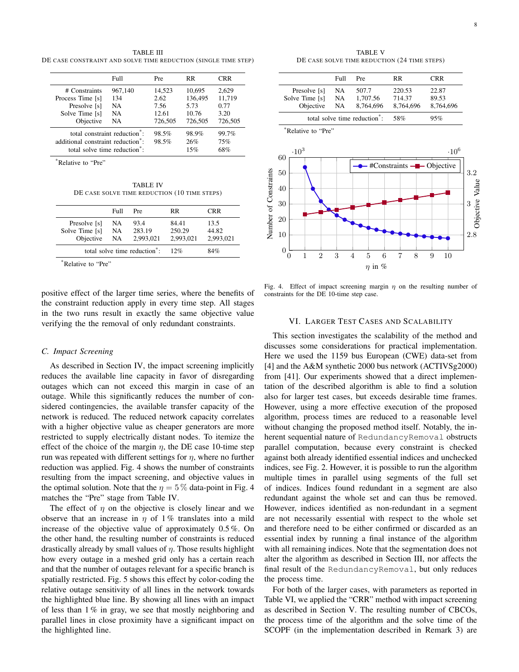TABLE III DE CASE CONSTRAINT AND SOLVE TIME REDUCTION (SINGLE TIME STEP)

|                                                                                                                                          | Full                               | Pre                                        | RR.                                           | CRR                                        |
|------------------------------------------------------------------------------------------------------------------------------------------|------------------------------------|--------------------------------------------|-----------------------------------------------|--------------------------------------------|
| # Constraints<br>Process Time [s]<br>Presolve [s]<br>Solve Time [s]<br>Objective                                                         | 967,140<br>134<br>NA.<br>NA.<br>NA | 14,523<br>2.62<br>7.56<br>12.61<br>726,505 | 10.695<br>136,495<br>5.73<br>10.76<br>726,505 | 2.629<br>11,719<br>0.77<br>3.20<br>726,505 |
| total constraint reduction <sup>*</sup> :<br>additional constraint reduction <sup>*</sup> :<br>total solve time reduction <sup>*</sup> : |                                    | 98.5%<br>98.5%                             | 98.9%<br>26%<br>15%                           | 99.7%<br>75%<br>68%                        |

\*Relative to "Pre"

TABLE IV DE CASE SOLVE TIME REDUCTION (10 TIME STEPS)

|                                             | Full            | Pre                                       | RR                           | <b>CRR</b>                 |
|---------------------------------------------|-----------------|-------------------------------------------|------------------------------|----------------------------|
| Presolve [s]<br>Solve Time [s]<br>Objective | NA<br>NA.<br>NA | 93.4<br>283.19<br>2,993,021               | 84 41<br>250.29<br>2.993.021 | 13.5<br>44.82<br>2,993,021 |
|                                             |                 | total solve time reduction <sup>*</sup> : | 12%                          | 84%                        |
| Relative to "Pre"                           |                 |                                           |                              |                            |

positive effect of the larger time series, where the benefits of the constraint reduction apply in every time step. All stages in the two runs result in exactly the same objective value verifying the the removal of only redundant constraints.

#### *C. Impact Screening*

As described in Section IV, the impact screening implicitly reduces the available line capacity in favor of disregarding outages which can not exceed this margin in case of an outage. While this significantly reduces the number of considered contingencies, the available transfer capacity of the network is reduced. The reduced network capacity correlates with a higher objective value as cheaper generators are more restricted to supply electrically distant nodes. To itemize the effect of the choice of the margin  $\eta$ , the DE case 10-time step run was repeated with different settings for  $\eta$ , where no further reduction was applied. Fig. 4 shows the number of constraints resulting from the impact screening, and objective values in the optimal solution. Note that the  $\eta = 5\%$  data-point in Fig. 4 matches the "Pre" stage from Table IV.

The effect of  $\eta$  on the objective is closely linear and we observe that an increase in  $\eta$  of 1% translates into a mild increase of the objective value of approximately 0.5 %. On the other hand, the resulting number of constraints is reduced drastically already by small values of  $\eta$ . Those results highlight how every outage in a meshed grid only has a certain reach and that the number of outages relevant for a specific branch is spatially restricted. Fig. 5 shows this effect by color-coding the relative outage sensitivity of all lines in the network towards the highlighted blue line. By showing all lines with an impact of less than  $1\%$  in gray, we see that mostly neighboring and parallel lines in close proximity have a significant impact on the highlighted line.

TABLE V DE CASE SOLVE TIME REDUCTION (24 TIME STERS)

|                    | Full | Pre                                       | RR                          | <b>CRR</b>   |
|--------------------|------|-------------------------------------------|-----------------------------|--------------|
| Presolve [s]       | NA   | 507.7                                     | 220.53                      | 22.87        |
| Solve Time [s]     | NA   | 1,707.56                                  | 714.37                      | 89.53        |
| Objective          | NA   | 8,764,696                                 | 8,764,696                   | 8,764,696    |
|                    |      | total solve time reduction <sup>*</sup> : | 58%                         | 95%          |
| *Relative to "Pre" |      |                                           |                             |              |
|                    |      |                                           |                             |              |
|                    |      |                                           |                             |              |
| $-10^{3}$<br>60    |      |                                           |                             | $\cdot 10^6$ |
|                    |      |                                           | $#Constraints$ —— Objective |              |
| 50                 |      |                                           |                             |              |
|                    |      |                                           |                             |              |
| 40                 |      |                                           |                             |              |
| 30                 |      |                                           |                             |              |
|                    |      |                                           |                             |              |
| 20                 |      |                                           |                             |              |
| 10                 |      |                                           |                             |              |

Fig. 4. Effect of impact screening margin  $\eta$  on the resulting number of constraints for the DE 10-time step case.

 $\eta$  in  $\%$ 

## VI. LARGER TEST CASES AND SCALABILITY

This section investigates the scalability of the method and discusses some considerations for practical implementation. Here we used the 1159 bus European (CWE) data-set from [4] and the A&M synthetic 2000 bus network (ACTIVSg2000) from [41]. Our experiments showed that a direct implementation of the described algorithm is able to find a solution also for larger test cases, but exceeds desirable time frames. However, using a more effective execution of the proposed algorithm, process times are reduced to a reasonable level without changing the proposed method itself. Notably, the inherent sequential nature of RedundancyRemoval obstructs parallel computation, because every constraint is checked against both already identified essential indices and unchecked indices, see Fig. 2. However, it is possible to run the algorithm multiple times in parallel using segments of the full set of indices. Indices found redundant in a segment are also redundant against the whole set and can thus be removed. However, indices identified as non-redundant in a segment are not necessarily essential with respect to the whole set and therefore need to be either confirmed or discarded as an essential index by running a final instance of the algorithm with all remaining indices. Note that the segmentation does not alter the algorithm as described in Section III, nor affects the final result of the RedundancyRemoval, but only reduces the process time.

For both of the larger cases, with parameters as reported in Table VI, we applied the "CRR" method with impact screening as described in Section V. The resulting number of CBCOs, the process time of the algorithm and the solve time of the SCOPF (in the implementation described in Remark 3) are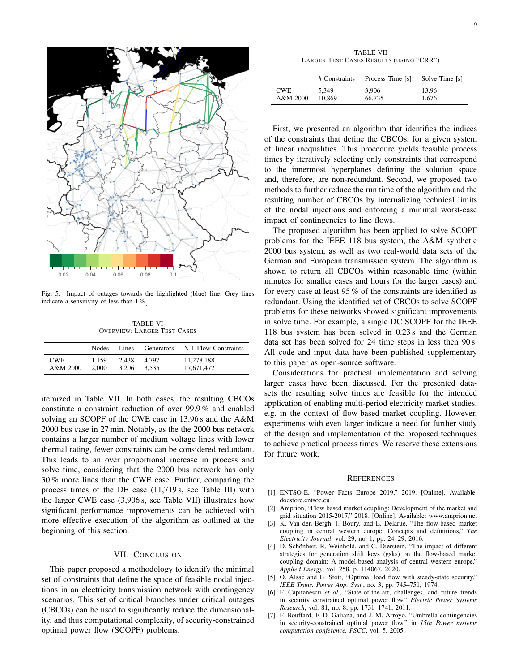

Fig. 5. Impact of outages towards the highlighted (blue) line; Grey lines indicate a sensitivity of less than 1%

TABLE VI OVERVIEW: LARGER TEST CASES

|            | <b>Nodes</b> | Lines | Generators | N-1 Flow Constraints |
|------------|--------------|-------|------------|----------------------|
| <b>CWE</b> | 1.159        | 2.438 | 4.797      | 11.278.188           |
| $A&M$ 2000 | 2.000        | 3.206 | 3.535      | 17.671.472           |

itemized in Table VII. In both cases, the resulting CBCOs constitute a constraint reduction of over 99.9 % and enabled solving an SCOPF of the CWE case in 13.96 s and the A&M 2000 bus case in 27 min. Notably, as the the 2000 bus network contains a larger number of medium voltage lines with lower thermal rating, fewer constraints can be considered redundant. This leads to an over proportional increase in process and solve time, considering that the 2000 bus network has only 30 % more lines than the CWE case. Further, comparing the process times of the DE case (11,719 s, see Table III) with the larger CWE case (3,906 s, see Table VII) illustrates how significant performance improvements can be achieved with more effective execution of the algorithm as outlined at the beginning of this section.

## VII. CONCLUSION

This paper proposed a methodology to identify the minimal set of constraints that define the space of feasible nodal injections in an electricity transmission network with contingency scenarios. This set of critical branches under critical outages (CBCOs) can be used to significantly reduce the dimensionality, and thus computational complexity, of security-constrained optimal power flow (SCOPF) problems.

TABLE VII LARGER TEST CASES RESULTS (USING "CRR")

|          | # Constraints | Process Time [s] | Solve Time [s] |
|----------|---------------|------------------|----------------|
| CWE.     | 5.349         | 3.906            | 13.96          |
| A&M 2000 | 10.869        | 66.735           | 1.676          |

First, we presented an algorithm that identifies the indices of the constraints that define the CBCOs, for a given system of linear inequalities. This procedure yields feasible process times by iteratively selecting only constraints that correspond to the innermost hyperplanes defining the solution space and, therefore, are non-redundant. Second, we proposed two methods to further reduce the run time of the algorithm and the resulting number of CBCOs by internalizing technical limits of the nodal injections and enforcing a minimal worst-case impact of contingencies to line flows.

The proposed algorithm has been applied to solve SCOPF problems for the IEEE 118 bus system, the A&M synthetic 2000 bus system, as well as two real-world data sets of the German and European transmission system. The algorithm is shown to return all CBCOs within reasonable time (within minutes for smaller cases and hours for the larger cases) and for every case at least 95 % of the constraints are identified as redundant. Using the identified set of CBCOs to solve SCOPF problems for these networks showed significant improvements in solve time. For example, a single DC SCOPF for the IEEE 118 bus system has been solved in 0.23 s and the German data set has been solved for 24 time steps in less then 90 s. All code and input data have been published supplementary to this paper as open-source software.

Considerations for practical implementation and solving larger cases have been discussed. For the presented datasets the resulting solve times are feasible for the intended application of enabling multi-period electricity market studies, e.g. in the context of flow-based market coupling. However, experiments with even larger indicate a need for further study of the design and implementation of the proposed techniques to achieve practical process times. We reserve these extensions for future work.

#### **REFERENCES**

- [1] ENTSO-E, "Power Facts Europe 2019," 2019. [Online]. Available: docstore.entsoe.eu
- [2] Amprion, "Flow based market coupling: Development of the market and grid situation 2015-2017," 2018. [Online]. Available: www.amprion.net
- [3] K. Van den Bergh, J. Boury, and E. Delarue, "The flow-based market coupling in central western europe: Concepts and definitions," *The Electricity Journal*, vol. 29, no. 1, pp. 24–29, 2016.
- [4] D. Schönheit, R. Weinhold, and C. Dierstein, "The impact of different strategies for generation shift keys (gsks) on the flow-based market coupling domain: A model-based analysis of central western europe," *Applied Energy*, vol. 258, p. 114067, 2020.
- [5] O. Alsac and B. Stott, "Optimal load flow with steady-state security," *IEEE Trans. Power App. Syst.*, no. 3, pp. 745–751, 1974.
- [6] F. Capitanescu et al., "State-of-the-art, challenges, and future trends in security constrained optimal power flow," *Electric Power Systems Research*, vol. 81, no. 8, pp. 1731–1741, 2011.
- [7] F. Bouffard, F. D. Galiana, and J. M. Arroyo, "Umbrella contingencies in security-constrained optimal power flow," in *15th Power systems computation conference, PSCC*, vol. 5, 2005.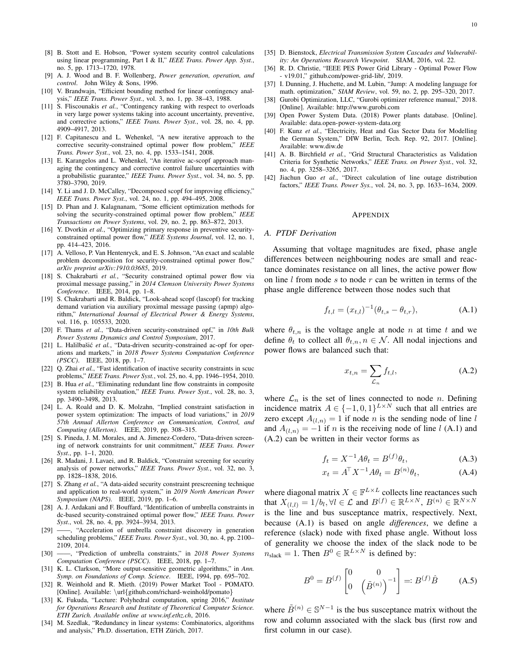- [8] B. Stott and E. Hobson, "Power system security control calculations using linear programming, Part I & II," *IEEE Trans. Power App. Syst.*, no. 5, pp. 1713–1720, 1978.
- [9] A. J. Wood and B. F. Wollenberg, *Power generation, operation, and control*. John Wiley & Sons, 1996.
- [10] V. Brandwajn, "Efficient bounding method for linear contingency analysis," *IEEE Trans. Power Syst.*, vol. 3, no. 1, pp. 38–43, 1988.
- [11] S. Fliscounakis et al., "Contingency ranking with respect to overloads in very large power systems taking into account uncertainty, preventive, and corrective actions," *IEEE Trans. Power Syst.*, vol. 28, no. 4, pp. 4909–4917, 2013.
- [12] F. Capitanescu and L. Wehenkel, "A new iterative approach to the corrective security-constrained optimal power flow problem," *IEEE Trans. Power Syst.*, vol. 23, no. 4, pp. 1533–1541, 2008.
- [13] E. Karangelos and L. Wehenkel, "An iterative ac-scopf approach managing the contingency and corrective control failure uncertainties with a probabilistic guarantee," *IEEE Trans. Power Syst.*, vol. 34, no. 5, pp. 3780–3790, 2019.
- [14] Y. Li and J. D. McCalley, "Decomposed scopf for improving efficiency," *IEEE Trans. Power Syst.*, vol. 24, no. 1, pp. 494–495, 2008.
- [15] D. Phan and J. Kalagnanam, "Some efficient optimization methods for solving the security-constrained optimal power flow problem," *IEEE Transactions on Power Systems*, vol. 29, no. 2, pp. 863–872, 2013.
- [16] Y. Dvorkin et al., "Optimizing primary response in preventive securityconstrained optimal power flow," *IEEE Systems Journal*, vol. 12, no. 1, pp. 414–423, 2016.
- [17] A. Velloso, P. Van Hentenryck, and E. S. Johnson, "An exact and scalable problem decomposition for security-constrained optimal power flow," *arXiv preprint arXiv:1910.03685*, 2019.
- [18] S. Chakrabarti et al., "Security constrained optimal power flow via proximal message passing," in *2014 Clemson University Power Systems Conference*. IEEE, 2014, pp. 1–8.
- [19] S. Chakrabarti and R. Baldick, "Look-ahead scopf (lascopf) for tracking demand variation via auxiliary proximal message passing (apmp) algorithm," *International Journal of Electrical Power & Energy Systems*, vol. 116, p. 105533, 2020.
- [20] F. Thams *et al.*, "Data-driven security-constrained opf," in *10th Bulk Power Systems Dynamics and Control Symposium*, 2017.
- [21] L. Halilbašić et al., "Data-driven security-constrained ac-opf for operations and markets," in *2018 Power Systems Computation Conference (PSCC)*. IEEE, 2018, pp. 1–7.
- [22] Q. Zhai *et al.*, "Fast identification of inactive security constraints in scuc problems," *IEEE Trans. Power Syst.*, vol. 25, no. 4, pp. 1946–1954, 2010.
- [23] B. Hua et al., "Eliminating redundant line flow constraints in composite system reliability evaluation," *IEEE Trans. Power Syst.*, vol. 28, no. 3, pp. 3490–3498, 2013.
- [24] L. A. Roald and D. K. Molzahn, "Implied constraint satisfaction in power system optimization: The impacts of load variations," in *2019 57th Annual Allerton Conference on Communication, Control, and Computing (Allerton)*. IEEE, 2019, pp. 308–315.
- [25] S. Pineda, J. M. Morales, and A. Jimenez-Cordero, "Data-driven screening of network constraints for unit commitment," *IEEE Trans. Power Syst.*, pp. 1–1, 2020.
- [26] R. Madani, J. Lavaei, and R. Baldick, "Constraint screening for security analysis of power networks," *IEEE Trans. Power Syst.*, vol. 32, no. 3, pp. 1828–1838, 2016.
- [27] S. Zhang *et al.*, "A data-aided security constraint prescreening technique and application to real-world system," in *2019 North American Power Symposium (NAPS)*. IEEE, 2019, pp. 1–6.
- [28] A. J. Ardakani and F. Bouffard, "Identification of umbrella constraints in dc-based security-constrained optimal power flow," *IEEE Trans. Power Syst.*, vol. 28, no. 4, pp. 3924–3934, 2013.
- [29] ——, "Acceleration of umbrella constraint discovery in generation scheduling problems," *IEEE Trans. Power Syst.*, vol. 30, no. 4, pp. 2100– 2109, 2014.
- [30] ——, "Prediction of umbrella constraints," in *2018 Power Systems Computation Conference (PSCC)*. IEEE, 2018, pp. 1–7.
- [31] K. L. Clarkson, "More output-sensitive geometric algorithms," in *Ann. Symp. on Foundations of Comp. Science*. IEEE, 1994, pp. 695–702.
- [32] R. Weinhold and R. Mieth. (2019) Power Market Tool POMATO. [Online]. Available: \url{github.com/richard-weinhold/pomato}
- [33] K. Fukuda, "Lecture: Polyhedral computation, spring 2016," *Institute for Operations Research and Institute of Theoretical Computer Science. ETH Zurich. Available online at www.inf.ethz.ch*, 2016.
- [34] M. Szedlak, "Redundancy in linear systems: Combinatorics, algorithms and analysis," Ph.D. dissertation, ETH Zürich, 2017.
- [35] D. Bienstock, *Electrical Transmission System Cascades and Vulnerability: An Operations Research Viewpoint*. SIAM, 2016, vol. 22.
- [36] R. D. Christie, "IEEE PES Power Grid Library Optimal Power Flow - v19.01," github.com/power-grid-lib/, 2019.
- [37] I. Dunning, J. Huchette, and M. Lubin, "Jump: A modeling language for math. optimization," *SIAM Review*, vol. 59, no. 2, pp. 295–320, 2017.
- [38] Gurobi Optimization, LLC, "Gurobi optimizer reference manual," 2018. [Online]. Available: http://www.gurobi.com
- [39] Open Power System Data. (2018) Power plants database. [Online]. Available: data.open-power-system-data.org
- [40] F. Kunz *et al.*, "Electricity, Heat and Gas Sector Data for Modelling the German System," DIW Berlin, Tech. Rep. 92, 2017. [Online]. Available: www.diw.de
- [41] A. B. Birchfield *et al.*, "Grid Structural Characteristics as Validation Criteria for Synthetic Networks," *IEEE Trans. on Power Syst.*, vol. 32, no. 4, pp. 3258–3265, 2017.
- [42] Jiachun Guo *et al.*, "Direct calculation of line outage distribution factors," *IEEE Trans. Power Sys.*, vol. 24, no. 3, pp. 1633–1634, 2009.

#### APPENDIX

#### *A. PTDF Derivation*

Assuming that voltage magnitudes are fixed, phase angle differences between neighbouring nodes are small and reactance dominates resistance on all lines, the active power flow on line  $l$  from node  $s$  to node  $r$  can be written in terms of the phase angle difference between those nodes such that

$$
f_{t,l} = (x_{t,l})^{-1} (\theta_{t,s} - \theta_{t,r}), \tag{A.1}
$$

where  $\theta_{t,n}$  is the voltage angle at node n at time t and we define  $\theta_t$  to collect all  $\theta_{t,n}$ ,  $n \in \mathcal{N}$ . All nodal injections and power flows are balanced such that:

$$
x_{t,n} = \sum_{\mathcal{L}_n} f_{t,l},\tag{A.2}
$$

where  $\mathcal{L}_n$  is the set of lines connected to node *n*. Defining incidence matrix  $A \in \{-1, 0, 1\}^{L \times N}$  such that all entries are zero except  $A_{(l,n)} = 1$  if node *n* is the sending node of line l and  $A_{(l,n)} = -1$  if n is the receiving node of line l (A.1) and (A.2) can be written in their vector forms as

$$
f_t = X^{-1}A\theta_t = B^{(f)}\theta_t, \tag{A.3}
$$

$$
x_t = A^{\top} X^{-1} A \theta_t = B^{(n)} \theta_t,
$$
 (A.4)

where diagonal matrix  $X \in \mathbb{F}^{L \times L}$  collects line reactances such that  $X_{(l,l)} = 1/b_l, \forall l \in \mathcal{L}$  and  $B^{(f)} \in \mathbb{R}^{L \times N}, B^{(n)} \in \mathbb{R}^{N \times N}$ is the line and bus susceptance matrix, respectively. Next, because (A.1) is based on angle *differences*, we define a reference (slack) node with fixed phase angle. Without loss of generality we choose the index of the slack node to be  $n_{\text{slack}} = 1$ . Then  $B^0 \in \mathbb{R}^{L \times N}$  is defined by:

$$
B^{0} = B^{(f)} \begin{bmatrix} 0 & 0 \\ 0 & (\tilde{B}^{(n)})^{-1} \end{bmatrix} =: B^{(f)} \hat{B} \qquad (A.5)
$$

where  $\tilde{B}^{(n)} \in \mathbb{S}^{N-1}$  is the bus susceptance matrix without the row and column associated with the slack bus (first row and first column in our case).